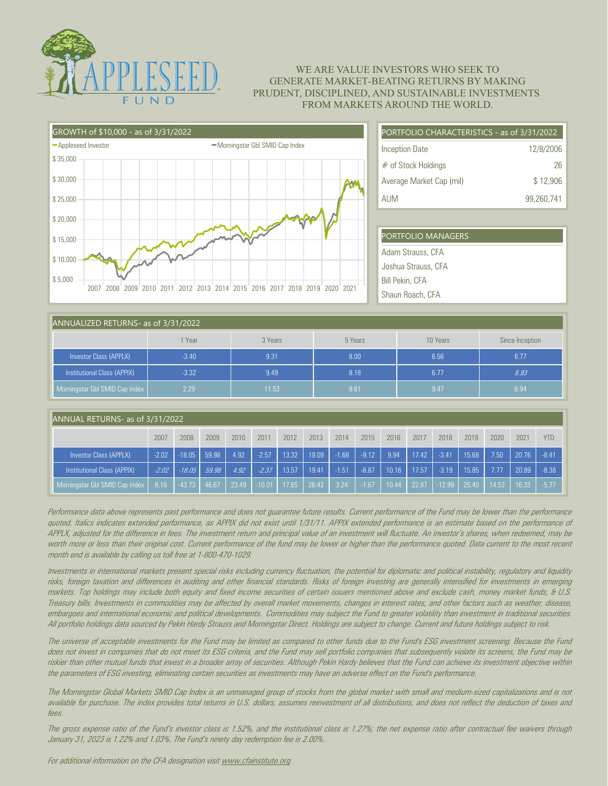

## WE ARE VALUE INVESTORS WHO SEEK TO GENERATE MARKET-BEATING RETURNS BY MAKING PRUDENT, DISCIPLINED, AND SUSTAINABLE INVESTMENTS FROM MARKETS AROUND THE WORLD.

| GROWTH of \$10,000 - as of 3/31/2022 |                                                                       |  |  |  |  |  |  |
|--------------------------------------|-----------------------------------------------------------------------|--|--|--|--|--|--|
| -Appleseed Investor                  | -Morningstar Gbl SMID Cap Index                                       |  |  |  |  |  |  |
| \$35,000                             |                                                                       |  |  |  |  |  |  |
| \$30,000                             |                                                                       |  |  |  |  |  |  |
| \$25,000                             |                                                                       |  |  |  |  |  |  |
| \$20,000                             |                                                                       |  |  |  |  |  |  |
| \$15,000                             |                                                                       |  |  |  |  |  |  |
| \$10,000<br>\$5,000                  |                                                                       |  |  |  |  |  |  |
| 2007                                 | 2008 2009 2010 2011 2012 2013 2014 2015 2016 2017 2018 2019 2020 2021 |  |  |  |  |  |  |

| PORTFOLIO CHARACTERISTICS - as of 3/31/2022 |            |  |  |  |  |  |
|---------------------------------------------|------------|--|--|--|--|--|
| <b>Inception Date</b>                       | 12/8/2006  |  |  |  |  |  |
| $#$ of Stock Holdings                       | 26         |  |  |  |  |  |
| Average Market Cap (mil)                    | \$12.906   |  |  |  |  |  |
| <b>AUM</b>                                  | 99,260,741 |  |  |  |  |  |

| PORTFOLIO MANAGERS     |
|------------------------|
| Adam Strauss, CFA      |
| Joshua Strauss, CFA    |
| <b>Bill Pekin, CFA</b> |
| Shaun Roach, CFA       |

| ANNUALIZED RETURNS- as of 3/31/2022 |         |         |         |          |                 |  |  |  |  |
|-------------------------------------|---------|---------|---------|----------|-----------------|--|--|--|--|
|                                     | Year    | 3 Years | 5 Years | 10 Years | Since Inception |  |  |  |  |
| Investor Class (APPLX)              | $-3.40$ | 9.31    | 8.00    | 6.56     | 6.77            |  |  |  |  |
| Institutional Class (APPIX)         | $-3.32$ | 9.49    | 8.18    | 6.77     | 6.93            |  |  |  |  |
| Morningstar Gbl SMID Cap Index      | 2.29    | 11.53   | 9.61    | 9.47     | 6.94            |  |  |  |  |

| ANNUAL RETURNS- as of 3/31/2022 |         |          |       |       |          |       |       |         |         |       |       |          |       |       |       |            |
|---------------------------------|---------|----------|-------|-------|----------|-------|-------|---------|---------|-------|-------|----------|-------|-------|-------|------------|
|                                 | 2007    | 2008     | 2009  | 2010  | 2011     | 2012  | 2013  | 2014    | 2015    | 2016  | 2017  | 2018     | 2019  | 2020  | 2021  | <b>YTD</b> |
| Investor Class (APPLX)          | $-2.02$ | $-18.05$ | 59.98 | 4.92  | $-2.57$  | 13.32 | 19.09 | $-1.68$ | $-9.12$ | 9.94  | 17.42 | $-3.41$  | 15.68 | 7.50  | 20.76 | $-8.41$    |
| Institutional Class (APPIX)     | $-2.02$ | $-18.05$ | 59.98 | 4.92  | $-2.37$  | 13.57 | 19.41 | $-1.51$ | $-8.87$ | 10.16 | 17.57 | $-3.19$  | 15.85 | 7.77  | 20.89 | $-8.38$    |
| Morningstar Gbl SMID Cap Index  | 8.16    | $-43.73$ | 46.67 | 23.49 | $-10.01$ | 17.65 | 26.42 | 3.24    | $-1.67$ | 10.44 | 22.87 | $-12.99$ | 25.40 | 14.53 | 16.33 | $-5.77$    |

Performance data above represents past performance and does not guarantee future results. Current performance of the Fund may be lower than the performance quoted. Italics indicates extended performance, as APPIX did not exist until 1/31/11. APPIX extended performance is an estimate based on the performance of APPLX, adjusted for the difference in fees. The investment return and principal value of an investment will fluctuate. An investor's shares, when redeemed, may be worth more or less than their original cost. Current performance of the fund may be lower or higher than the performance quoted. Data current to the most recent month end is available by calling us toll free at 1-800-470-1029.

Investments in international markets present special risks including currency fluctuation, the potential for diplomatic and political instability, regulatory and liquidity risks, foreign taxation and differences in auditing and other financial standards. Risks of foreign investing are generally intensified for investments in emerging markets. Top holdings may include both equity and fixed income securities of certain issuers mentioned above and exclude cash, money market funds, & U.S. Treasury bills. Investments in commodities may be affected by overall market movements, changes in interest rates, and other factors such as weather, disease, embargoes and international economic and political developments. Commodities may subject the Fund to greater volatility than investment in traditional securities. All portfolio holdings data sourced by Pekin Hardy Strauss and Morningstar Direct. Holdings are subject to change. Current and future holdings subject to risk.

The universe of acceptable investments for the Fund may be limited as compared to other funds due to the Fund's ESG investment screening. Because the Fund does not invest in companies that do not meet its ESG criteria, and the Fund may sell portfolio companies that subsequently violate its screens, the Fund may be riskier than other mutual funds that invest in a broader array of securities. Although Pekin Hardy believes that the Fund can achieve its investment objective within the parameters of ESG investing, eliminating certain securities as investments may have an adverse effect on the Fund's performance.

The Morningstar Global Markets SMID Cap Index is an unmanaged group of stocks from the global market with small and medium-sized capitalizations and is not available for purchase. The index provides total returns in U.S. dollars, assumes reinvestment of all distributions, and does not reflect the deduction of taxes and fees.

The gross expense ratio of the Fund's investor class is 1.52%, and the institutional class is 1.27%; the net expense ratio after contractual fee waivers through January 31, 2023 is 1.22% and 1.03%. The Fund's ninety day redemption fee is 2.00%.

For additional information on the CFA designation visit www.cfainstitute.org.